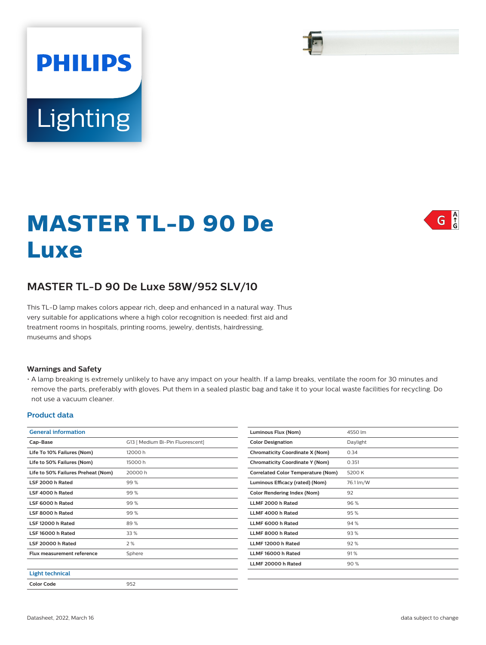# **PHILIPS** Lighting

## **MASTER TL-D 90 De Luxe**



### **MASTER TL-D 90 De Luxe 58W/952 SLV/10**

This TL-D lamp makes colors appear rich, deep and enhanced in a natural way. Thus very suitable for applications where a high color recognition is needed: first aid and treatment rooms in hospitals, printing rooms, jewelry, dentists, hairdressing, museums and shops

#### **Warnings and Safety**

• A lamp breaking is extremely unlikely to have any impact on your health. If a lamp breaks, ventilate the room for 30 minutes and remove the parts, preferably with gloves. Put them in a sealed plastic bag and take it to your local waste facilities for recycling. Do not use a vacuum cleaner.

#### **Product data**

| <b>General information</b>         |                                  | Luminous Flux (Nom)                       | 4550 lm   |
|------------------------------------|----------------------------------|-------------------------------------------|-----------|
| Cap-Base                           | G13 [ Medium Bi-Pin Fluorescent] | <b>Color Designation</b>                  | Daylight  |
| Life To 10% Failures (Nom)         | 12000 h                          | <b>Chromaticity Coordinate X (Nom)</b>    | 0.34      |
| Life to 50% Failures (Nom)         | 15000h                           | <b>Chromaticity Coordinate Y (Nom)</b>    | 0.351     |
| Life to 50% Failures Preheat (Nom) | 20000h                           | <b>Correlated Color Temperature (Nom)</b> | 5200K     |
| LSF 2000 h Rated                   | 99 %                             | Luminous Efficacy (rated) (Nom)           | 76.1 lm/W |
| LSF 4000 h Rated                   | 99 %                             | Color Rendering Index (Nom)               | 92        |
| LSF 6000 h Rated                   | 99%                              | LLMF 2000 h Rated                         | 96%       |
| LSF 8000 h Rated                   | 99%                              | LLMF 4000 h Rated                         | 95%       |
| LSF 12000 h Rated                  | 89%                              | LLMF 6000 h Rated                         | 94%       |
| LSF 16000 h Rated                  | 33 %                             | LLMF 8000 h Rated                         | 93%       |
| LSF 20000 h Rated                  | 2 %                              | LLMF 12000 h Rated                        | 92%       |
| <b>Flux measurement reference</b>  | Sphere                           | LLMF 16000 h Rated                        | 91%       |
|                                    |                                  | LLMF 20000 h Rated                        | 90%       |
| <b>Light technical</b>             |                                  |                                           |           |
| <b>Color Code</b>                  | 952                              |                                           |           |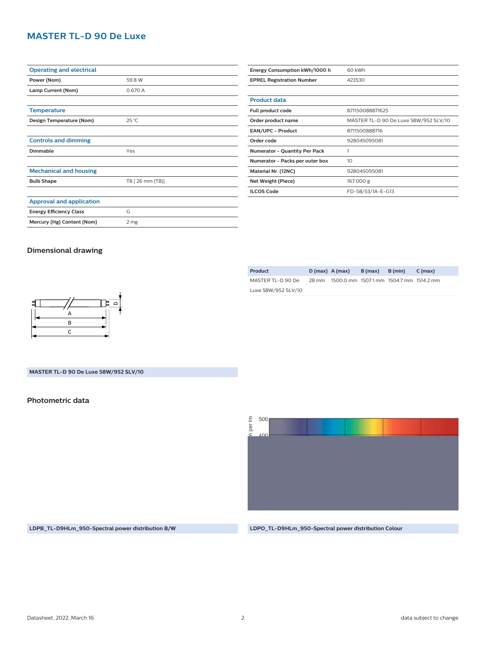#### **MASTER TL-D 90 De Luxe**

| <b>Operating and electrical</b> |                  | Energy Consumption kWh/1000 h    | 60 kWh                                |
|---------------------------------|------------------|----------------------------------|---------------------------------------|
| Power (Nom)                     | 59.8 W           | <b>EPREL Registration Number</b> | 423530                                |
| Lamp Current (Nom)              | 0.670 A          |                                  |                                       |
|                                 |                  | <b>Product data</b>              |                                       |
| <b>Temperature</b>              |                  | Full product code                | 871150088871625                       |
| Design Temperature (Nom)        | 25 °C            | Order product name               | MASTER TL-D 90 De Luxe 58W/952 SLV/10 |
|                                 |                  | EAN/UPC - Product                | 8711500888716                         |
| <b>Controls and dimming</b>     |                  | Order code                       | 928045095081                          |
| <b>Dimmable</b>                 | Yes              | Numerator - Quantity Per Pack    |                                       |
|                                 |                  | Numerator - Packs per outer box  | 10                                    |
| <b>Mechanical and housing</b>   |                  | Material Nr. (12NC)              | 928045095081                          |
| <b>Bulb Shape</b>               | T8 [ 26 mm (T8)] | Net Weight (Piece)               | 167.000 g                             |
|                                 |                  | <b>ILCOS Code</b>                | FD-58/53/1A-E-G13                     |
| Approval and application        |                  |                                  |                                       |
| <b>Energy Efficiency Class</b>  | G                |                                  |                                       |
| Mercury (Hg) Content (Nom)      | 2 mg             |                                  |                                       |
|                                 |                  |                                  |                                       |

#### **Dimensional drawing**

|  | B (max)          | B (min) | C (max)                                       |
|--|------------------|---------|-----------------------------------------------|
|  |                  |         |                                               |
|  |                  |         |                                               |
|  | $D(max)$ A (max) |         | 28 mm 1500.0 mm 1507.1 mm 1504.7 mm 1514.2 mm |



#### **MASTER TL-D 90 De Luxe 58W/952 SLV/10**

#### **Photometric data**

 $\overline{\Xi}$ 500 per  $\overline{\Omega}$